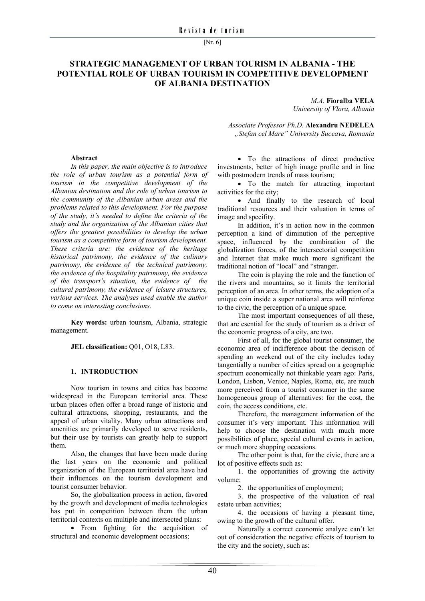[Nr. 6]

# **STRATEGIC MANAGEMENT OF URBAN TOURISM IN ALBANIA - THE POTENTIAL ROLE OF URBAN TOURISM IN COMPETITIVE DEVELOPMENT OF ALBANIA DESTINATION**

*M.A.* **Fioralba VELA**  *University of Vlora, Albania* 

*Associate Professor Ph.D.* **Alexandru NEDELEA** *"Stefan cel Mare" University Suceava, Romania* 

#### **Abstract**

*In this paper, the main objective is to introduce the role of urban tourism as a potential form of tourism in the competitive development of the Albanian destination and the role of urban tourism to the community of the Albanian urban areas and the problems related to this development. For the purpose of the study, it's needed to define the criteria of the study and the organization of the Albanian cities that offers the greatest possibilities to develop the urban tourism as a competitive form of tourism development. These criteria are: the evidence of the heritage historical patrimony, the evidence of the culinary patrimony, the evidence of the technical patrimony, the evidence of the hospitality patrimony, the evidence of the transport's situation, the evidence of the cultural patrimony, the evidence of leisure structures, various services. The analyses used enable the author to come on interesting conclusions.*

**Key words:** urban tourism, Albania, strategic management.

**JEL classification:** Q01, O18, L83.

#### **1. INTRODUCTION**

Now tourism in towns and cities has become widespread in the European territorial area. These urban places often offer a broad range of historic and cultural attractions, shopping, restaurants, and the appeal of urban vitality. Many urban attractions and amenities are primarily developed to serve residents, but their use by tourists can greatly help to support them.

Also, the changes that have been made during the last years on the economic and political organization of the European territorial area have had their influences on the tourism development and tourist consumer behavior.

So, the globalization process in action, favored by the growth and development of media technologies has put in competition between them the urban territorial contexts on multiple and intersected plans:

• From fighting for the acquisition of structural and economic development occasions;

 To the attractions of direct productive investments, better of high image profile and in line with postmodern trends of mass tourism;

• To the match for attracting important activities for the city;

 And finally to the research of local traditional resources and their valuation in terms of image and specifity.

In addition, it's in action now in the common perception a kind of diminution of the perceptive space, influenced by the combination of the globalization forces, of the intersectorial competition and Internet that make much more significant the traditional notion of "local" and "stranger.

The coin is playing the role and the function of the rivers and mountains, so it limits the territorial perception of an area. In other terms, the adoption of a unique coin inside a super national area will reinforce to the civic, the perception of a unique space.

The most important consequences of all these, that are esential for the study of tourism as a driver of the economic progress of a city, are two.

First of all, for the global tourist consumer, the economic area of indifference about the decision of spending an weekend out of the city includes today tangentially a number of cities spread on a geographic spectrum economically not thinkable years ago: Paris, London, Lisbon, Venice, Naples, Rome, etc, are much more perceived from a tourist consumer in the same homogeneous group of alternatives: for the cost, the coin, the access conditions, etc.

Therefore, the management information of the consumer it's very important. This information will help to choose the destination with much more possibilities of place, special cultural events in action, or much more shopping occasions.

The other point is that, for the civic, there are a lot of positive effects such as:

1. the opportunities of growing the activity volume;

2. the opportunities of employment;

3. the prospective of the valuation of real estate urban activities;

4. the occasions of having a pleasant time, owing to the growth of the cultural offer.

Naturally a correct economic analyze can't let out of consideration the negative effects of tourism to the city and the society, such as: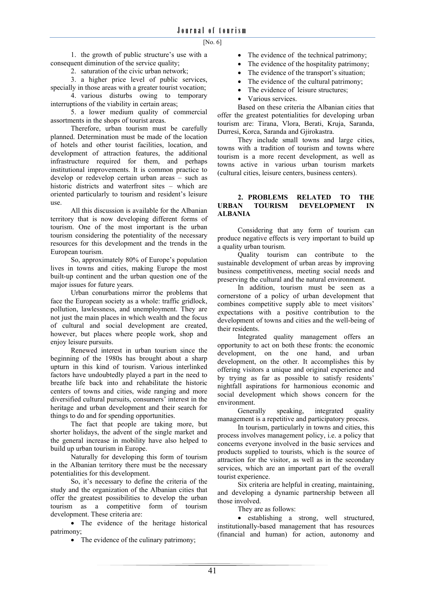1. the growth of public structure's use with a consequent diminution of the service quality;

2. saturation of the civic urban network;

3. a higher price level of public services, specially in those areas with a greater tourist vocation;

4. various disturbs owing to temporary interruptions of the viability in certain areas;

5. a lower medium quality of commercial assortments in the shops of tourist areas.

Therefore, urban tourism must be carefully planned. Determination must be made of the location of hotels and other tourist facilities, location, and development of attraction features, the additional infrastructure required for them, and perhaps institutional improvements. It is common practice to develop or redevelop certain urban areas – such as historic districts and waterfront sites – which are oriented particularly to tourism and resident's leisure use.

All this discussion is available for the Albanian territory that is now developing different forms of tourism. One of the most important is the urban tourism considering the potentiality of the necessary resources for this development and the trends in the European tourism.

So, approximately 80% of Europe's population lives in towns and cities, making Europe the most built-up continent and the urban question one of the major issues for future years.

Urban conurbations mirror the problems that face the European society as a whole: traffic gridlock, pollution, lawlessness, and unemployment. They are not just the main places in which wealth and the focus of cultural and social development are created, however, but places where people work, shop and enjoy leisure pursuits.

Renewed interest in urban tourism since the beginning of the 1980s has brought about a sharp upturn in this kind of tourism. Various interlinked factors have undoubtedly played a part in the need to breathe life back into and rehabilitate the historic centers of towns and cities, wide ranging and more diversified cultural pursuits, consumers' interest in the heritage and urban development and their search for things to do and for spending opportunities.

The fact that people are taking more, but shorter holidays, the advent of the single market and the general increase in mobility have also helped to build up urban tourism in Europe.

Naturally for developing this form of tourism in the Albanian territory there must be the necessary potentialities for this development.

So, it's necessary to define the criteria of the study and the organization of the Albanian cities that offer the greatest possibilities to develop the urban tourism as a competitive form of tourism development. These criteria are:

• The evidence of the heritage historical patrimony;

• The evidence of the culinary patrimony;

- The evidence of the technical patrimony;
- The evidence of the hospitality patrimony;
- The evidence of the transport's situation:
- The evidence of the cultural patrimony;
- The evidence of leisure structures;
- Various services.

Based on these criteria the Albanian cities that offer the greatest potentialities for developing urban tourism are: Tirana, Vlora, Berati, Kruja, Saranda, Durresi, Korca, Saranda and Gjirokastra.

They include small towns and large cities, towns with a tradition of tourism and towns where tourism is a more recent development, as well as towns active in various urban tourism markets (cultural cities, leisure centers, business centers).

## **2. PROBLEMS RELATED TO THE URBAN TOURISM DEVELOPMENT IN ALBANIA**

Considering that any form of tourism can produce negative effects is very important to build up a quality urban tourism.

Quality tourism can contribute to the sustainable development of urban areas by improving business competitiveness, meeting social needs and preserving the cultural and the natural environment.

In addition, tourism must be seen as a cornerstone of a policy of urban development that combines competitive supply able to meet visitors' expectations with a positive contribution to the development of towns and cities and the well-being of their residents.

Integrated quality management offers an opportunity to act on both these fronts: the economic development, on the one hand, and urban development, on the other. It accomplishes this by offering visitors a unique and original experience and by trying as far as possible to satisfy residents' nightfall aspirations for harmonious economic and social development which shows concern for the environment.

Generally speaking, integrated quality management is a repetitive and participatory process.

In tourism, particularly in towns and cities, this process involves management policy, i.e. a policy that concerns everyone involved in the basic services and products supplied to tourists, which is the source of attraction for the visitor, as well as in the secondary services, which are an important part of the overall tourist experience.

Six criteria are helpful in creating, maintaining, and developing a dynamic partnership between all those involved.

They are as follows:

 establishing a strong, well structured, institutionally-based management that has resources (financial and human) for action, autonomy and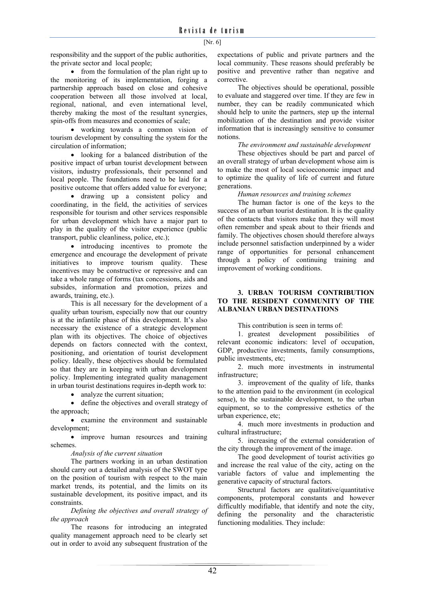responsibility and the support of the public authorities, the private sector and local people;

• from the formulation of the plan right up to the monitoring of its implementation, forging a partnership approach based on close and cohesive cooperation between all those involved at local, regional, national, and even international level, thereby making the most of the resultant synergies, spin-offs from measures and economies of scale;

 working towards a common vision of tourism development by consulting the system for the circulation of information;

 looking for a balanced distribution of the positive impact of urban tourist development between visitors, industry professionals, their personnel and local people. The foundations need to be laid for a positive outcome that offers added value for everyone;

 drawing up a consistent policy and coordinating, in the field, the activities of services responsible for tourism and other services responsible for urban development which have a major part to play in the quality of the visitor experience (public transport, public cleanliness, police, etc.);

• introducing incentives to promote the emergence and encourage the development of private initiatives to improve tourism quality. These incentives may be constructive or repressive and can take a whole range of forms (tax concessions, aids and subsides, information and promotion, prizes and awards, training, etc.).

This is all necessary for the development of a quality urban tourism, especially now that our country is at the infantile phase of this development. It's also necessary the existence of a strategic development plan with its objectives. The choice of objectives depends on factors connected with the context, positioning, and orientation of tourist development policy. Ideally, these objectives should be formulated so that they are in keeping with urban development policy. Implementing integrated quality management in urban tourist destinations requires in-depth work to:

• analyze the current situation;

 define the objectives and overall strategy of the approach;

 examine the environment and sustainable development;

• improve human resources and training schemes.

*Analysis of the current situation* 

The partners working in an urban destination should carry out a detailed analysis of the SWOT type on the position of tourism with respect to the main market trends, its potential, and the limits on its sustainable development, its positive impact, and its constraints.

*Defining the objectives and overall strategy of the approach* 

The reasons for introducing an integrated quality management approach need to be clearly set out in order to avoid any subsequent frustration of the expectations of public and private partners and the local community. These reasons should preferably be positive and preventive rather than negative and corrective.

The objectives should be operational, possible to evaluate and staggered over time. If they are few in number, they can be readily communicated which should help to unite the partners, step up the internal mobilization of the destination and provide visitor information that is increasingly sensitive to consumer notions.

## *The environment and sustainable development*

These objectives should be part and parcel of an overall strategy of urban development whose aim is to make the most of local socioeconomic impact and to optimize the quality of life of current and future generations.

## *Human resources and training schemes*

The human factor is one of the keys to the success of an urban tourist destination. It is the quality of the contacts that visitors make that they will most often remember and speak about to their friends and family. The objectives chosen should therefore always include personnel satisfaction underpinned by a wider range of opportunities for personal enhancement through a policy of continuing training and improvement of working conditions.

#### **3. URBAN TOURISM CONTRIBUTION TO THE RESIDENT COMMUNITY OF THE ALBANIAN URBAN DESTINATIONS**

This contribution is seen in terms of:

1. greatest development possibilities of relevant economic indicators: level of occupation, GDP, productive investments, family consumptions, public investments, etc;

2. much more investments in instrumental infrastructure;

3. improvement of the quality of life, thanks to the attention paid to the environment (in ecological sense), to the sustainable development, to the urban equipment, so to the compressive esthetics of the urban experience, etc;

4. much more investments in production and cultural infrastructure;

5. increasing of the external consideration of the city through the improvement of the image.

The good development of tourist activities go and increase the real value of the city, acting on the variable factors of value and implementing the generative capacity of structural factors.

Structural factors are qualitative/quantitative components, protemporal constants and however difficultly modifiable, that identify and note the city, defining the personality and the characteristic functioning modalities. They include: